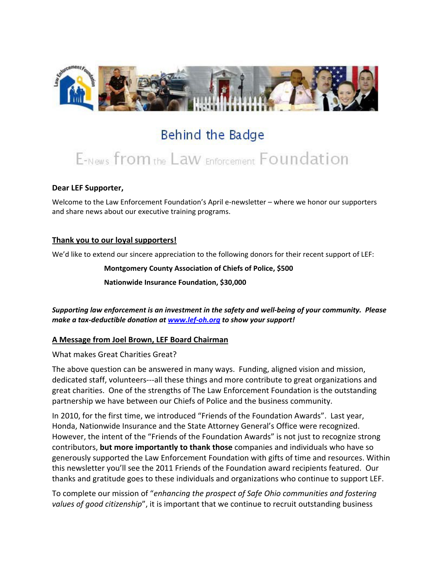

# Behind the Badge

# E-News from the Law Enforcement Foundation

#### **Dear LEF Supporter,**

Welcome to the Law Enforcement Foundation's April e-newsletter – where we honor our supporters and share news about our executive training programs.

#### **Thank you to our loyal supporters!**

We'd like to extend our sincere appreciation to the following donors for their recent support of LEF:

**Montgomery County Association of Chiefs of Police, \$500**

**Nationwide Insurance Foundation, \$30,000**

*Supporting law enforcement is an investment in the safety and well-being of your community. Please make a tax-deductible donation a[t www.lef-oh.org](http://www.lef-oh.org/) to show your support!*

#### **A Message from Joel Brown, LEF Board Chairman**

What makes Great Charities Great?

The above question can be answered in many ways. Funding, aligned vision and mission, dedicated staff, volunteers---all these things and more contribute to great organizations and great charities. One of the strengths of The Law Enforcement Foundation is the outstanding partnership we have between our Chiefs of Police and the business community.

In 2010, for the first time, we introduced "Friends of the Foundation Awards". Last year, Honda, Nationwide Insurance and the State Attorney General's Office were recognized. However, the intent of the "Friends of the Foundation Awards" is not just to recognize strong contributors, **but more importantly to thank those** companies and individuals who have so generously supported the Law Enforcement Foundation with gifts of time and resources. Within this newsletter you'll see the 2011 Friends of the Foundation award recipients featured. Our thanks and gratitude goes to these individuals and organizations who continue to support LEF.

To complete our mission of "*enhancing the prospect of Safe Ohio communities and fostering values of good citizenship*", it is important that we continue to recruit outstanding business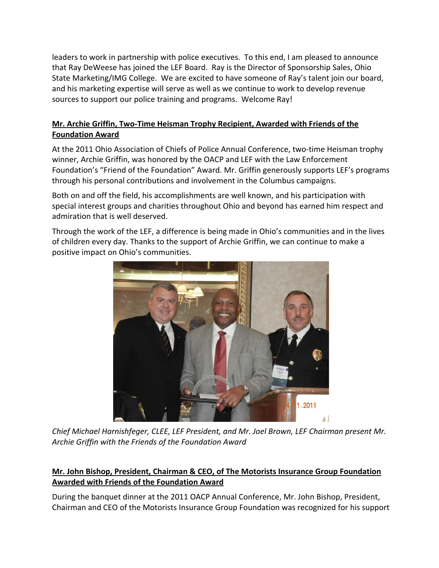leaders to work in partnership with police executives. To this end, I am pleased to announce that Ray DeWeese has joined the LEF Board. Ray is the Director of Sponsorship Sales, Ohio State Marketing/IMG College. We are excited to have someone of Ray's talent join our board, and his marketing expertise will serve as well as we continue to work to develop revenue sources to support our police training and programs. Welcome Ray!

### **Mr. Archie Griffin, Two-Time Heisman Trophy Recipient, Awarded with Friends of the Foundation Award**

At the 2011 Ohio Association of Chiefs of Police Annual Conference, two-time Heisman trophy winner, Archie Griffin, was honored by the OACP and LEF with the Law Enforcement Foundation's "Friend of the Foundation" Award. Mr. Griffin generously supports LEF's programs through his personal contributions and involvement in the Columbus campaigns.

Both on and off the field, his accomplishments are well known, and his participation with special interest groups and charities throughout Ohio and beyond has earned him respect and admiration that is well deserved.

Through the work of the LEF, a difference is being made in Ohio's communities and in the lives of children every day. Thanks to the support of Archie Griffin, we can continue to make a positive impact on Ohio's communities.



*Chief Michael Harnishfeger, CLEE, LEF President, and Mr. Joel Brown, LEF Chairman present Mr. Archie Griffin with the Friends of the Foundation Award*

## **Mr. John Bishop, President, Chairman & CEO, of The Motorists Insurance Group Foundation Awarded with Friends of the Foundation Award**

During the banquet dinner at the 2011 OACP Annual Conference, Mr. John Bishop, President, Chairman and CEO of the Motorists Insurance Group Foundation was recognized for his support